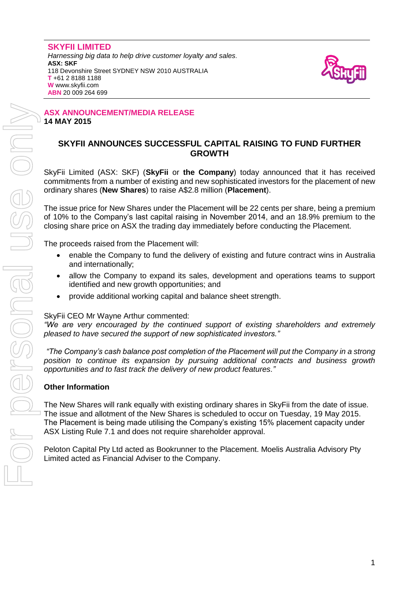

#### **ASX ANNOUNCEMENT/MEDIA RELEASE 14 MAY 2015**

# **SKYFII ANNOUNCES SUCCESSFUL CAPITAL RAISING TO FUND FURTHER GROWTH**

SkyFii Limited (ASX: SKF) (**SkyFii** or **the Company**) today announced that it has received commitments from a number of existing and new sophisticated investors for the placement of new ordinary shares (**New Shares**) to raise A\$2.8 million (**Placement**).

The issue price for New Shares under the Placement will be 22 cents per share, being a premium of 10% to the Company's last capital raising in November 2014, and an 18.9% premium to the closing share price on ASX the trading day immediately before conducting the Placement.

The proceeds raised from the Placement will:

- enable the Company to fund the delivery of existing and future contract wins in Australia and internationally;
- allow the Company to expand its sales, development and operations teams to support identified and new growth opportunities; and
- provide additional working capital and balance sheet strength.

#### SkyFii CEO Mr Wayne Arthur commented:

*"We are very encouraged by the continued support of existing shareholders and extremely pleased to have secured the support of new sophisticated investors."*

*"The Company's cash balance post completion of the Placement will put the Company in a strong position to continue its expansion by pursuing additional contracts and business growth opportunities and to fast track the delivery of new product features."* 

### **Other Information**

The New Shares will rank equally with existing ordinary shares in SkyFii from the date of issue. The issue and allotment of the New Shares is scheduled to occur on Tuesday, 19 May 2015. The Placement is being made utilising the Company's existing 15% placement capacity under ASX Listing Rule 7.1 and does not require shareholder approval.

Peloton Capital Pty Ltd acted as Bookrunner to the Placement. Moelis Australia Advisory Pty Limited acted as Financial Adviser to the Company.